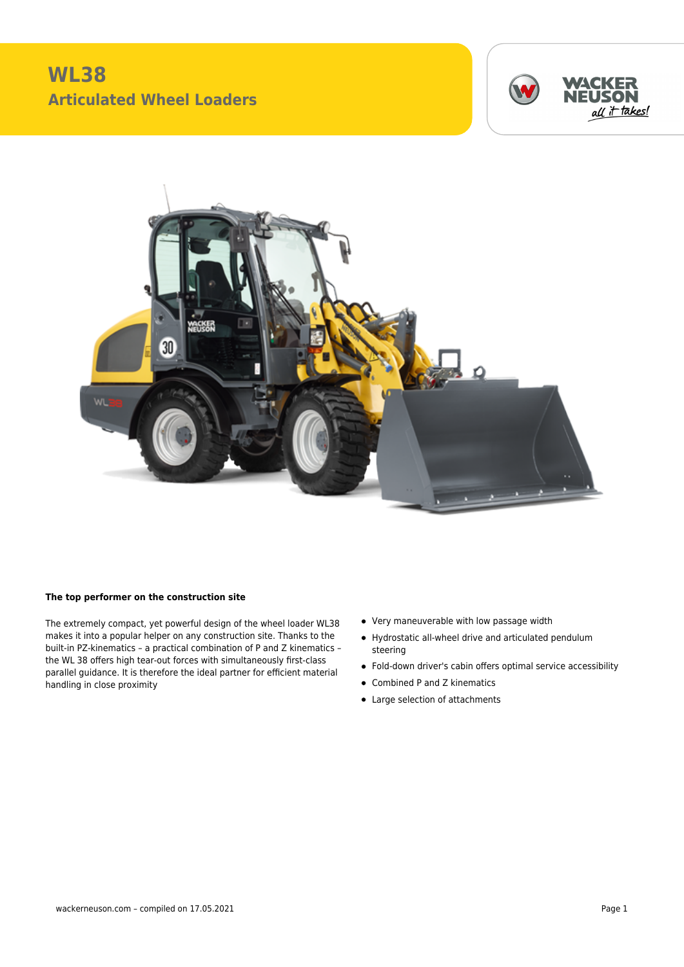



## **The top performer on the construction site**

The extremely compact, yet powerful design of the wheel loader WL38 makes it into a popular helper on any construction site. Thanks to the built-in PZ-kinematics – a practical combination of P and Z kinematics – the WL 38 offers high tear-out forces with simultaneously first-class parallel guidance. It is therefore the ideal partner for efficient material handling in close proximity

- Very maneuverable with low passage width
- Hydrostatic all-wheel drive and articulated pendulum steering
- Fold-down driver's cabin offers optimal service accessibility
- Combined P and Z kinematics
- Large selection of attachments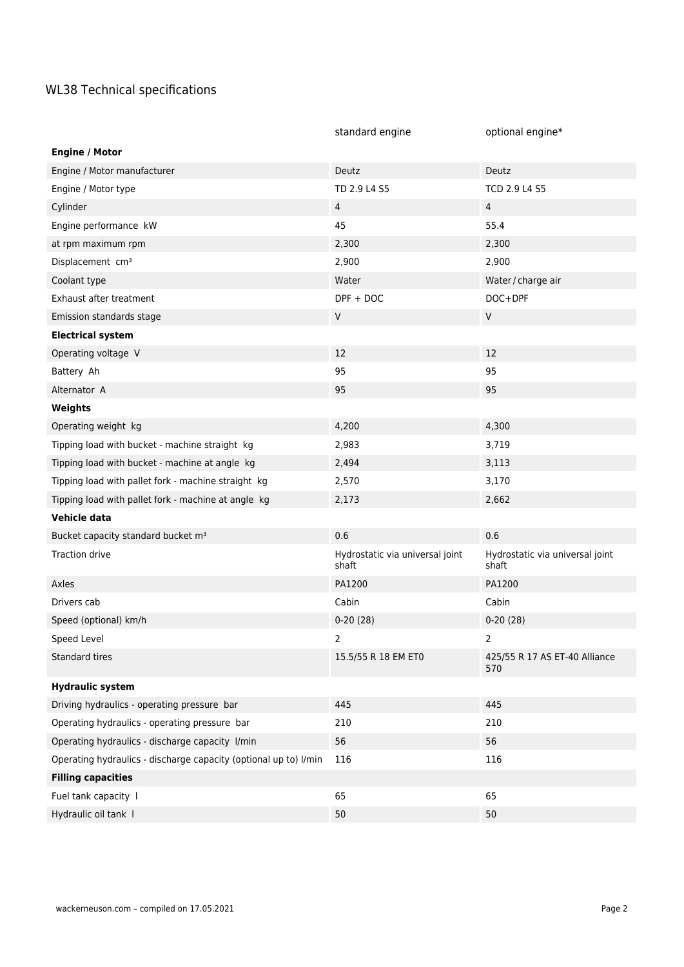## WL38 Technical specifications

|                                                                  | standard engine                          | optional engine*                         |
|------------------------------------------------------------------|------------------------------------------|------------------------------------------|
| <b>Engine / Motor</b>                                            |                                          |                                          |
| Engine / Motor manufacturer                                      | Deutz                                    | Deutz                                    |
| Engine / Motor type                                              | TD 2.9 L4 S5                             | TCD 2.9 L4 S5                            |
| Cylinder                                                         | $\overline{4}$                           | $\overline{4}$                           |
| Engine performance kW                                            | 45                                       | 55.4                                     |
| at rpm maximum rpm                                               | 2,300                                    | 2,300                                    |
| Displacement cm <sup>3</sup>                                     | 2,900                                    | 2,900                                    |
| Coolant type                                                     | Water                                    | Water / charge air                       |
| Exhaust after treatment                                          | $DPF + DOC$                              | DOC+DPF                                  |
| Emission standards stage                                         | ${\sf V}$                                | $\mathsf V$                              |
| <b>Electrical system</b>                                         |                                          |                                          |
| Operating voltage V                                              | 12                                       | 12                                       |
| Battery Ah                                                       | 95                                       | 95                                       |
| Alternator A                                                     | 95                                       | 95                                       |
| Weights                                                          |                                          |                                          |
| Operating weight kg                                              | 4,200                                    | 4,300                                    |
| Tipping load with bucket - machine straight kg                   | 2,983                                    | 3,719                                    |
| Tipping load with bucket - machine at angle kg                   | 2,494                                    | 3,113                                    |
| Tipping load with pallet fork - machine straight kg              | 2,570                                    | 3,170                                    |
| Tipping load with pallet fork - machine at angle kg              | 2,173                                    | 2,662                                    |
| Vehicle data                                                     |                                          |                                          |
| Bucket capacity standard bucket m <sup>3</sup>                   | 0.6                                      | 0.6                                      |
| <b>Traction drive</b>                                            | Hydrostatic via universal joint<br>shaft | Hydrostatic via universal joint<br>shaft |
| Axles                                                            | PA1200                                   | PA1200                                   |
| Drivers cab                                                      | Cabin                                    | Cabin                                    |
| Speed (optional) km/h                                            | $0-20(28)$                               | $0-20(28)$                               |
| Speed Level                                                      | $\mathbf{2}$                             | $\overline{2}$                           |
| Standard tires                                                   | 15.5/55 R 18 EM ET0                      | 425/55 R 17 AS ET-40 Alliance<br>570     |
| <b>Hydraulic system</b>                                          |                                          |                                          |
| Driving hydraulics - operating pressure bar                      | 445                                      | 445                                      |
| Operating hydraulics - operating pressure bar                    | 210                                      | 210                                      |
| Operating hydraulics - discharge capacity l/min                  | 56                                       | 56                                       |
| Operating hydraulics - discharge capacity (optional up to) l/min | 116                                      | 116                                      |
| <b>Filling capacities</b>                                        |                                          |                                          |
| Fuel tank capacity                                               | 65                                       | 65                                       |
| Hydraulic oil tank I                                             | 50                                       | 50                                       |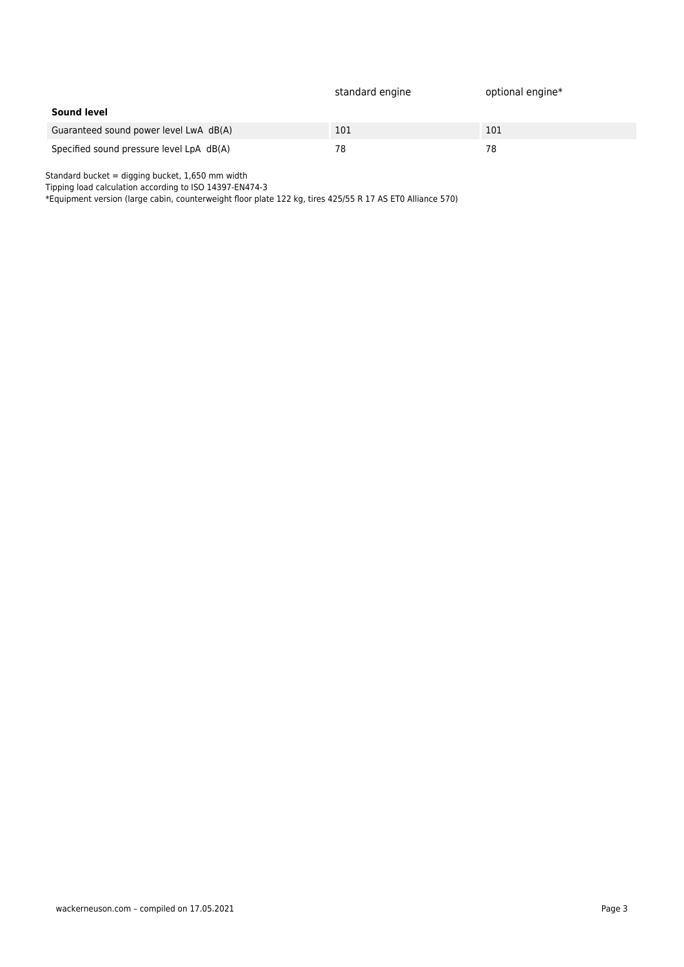|                                          | standard engine | optional engine* |
|------------------------------------------|-----------------|------------------|
| <b>Sound level</b>                       |                 |                  |
| Guaranteed sound power level LwA dB(A)   | 101             | 101              |
| Specified sound pressure level LpA dB(A) | 78              | 78               |

Standard bucket = digging bucket, 1,650 mm width

Tipping load calculation according to ISO 14397-EN474-3

\*Equipment version (large cabin, counterweight floor plate 122 kg, tires 425/55 R 17 AS ET0 Alliance 570)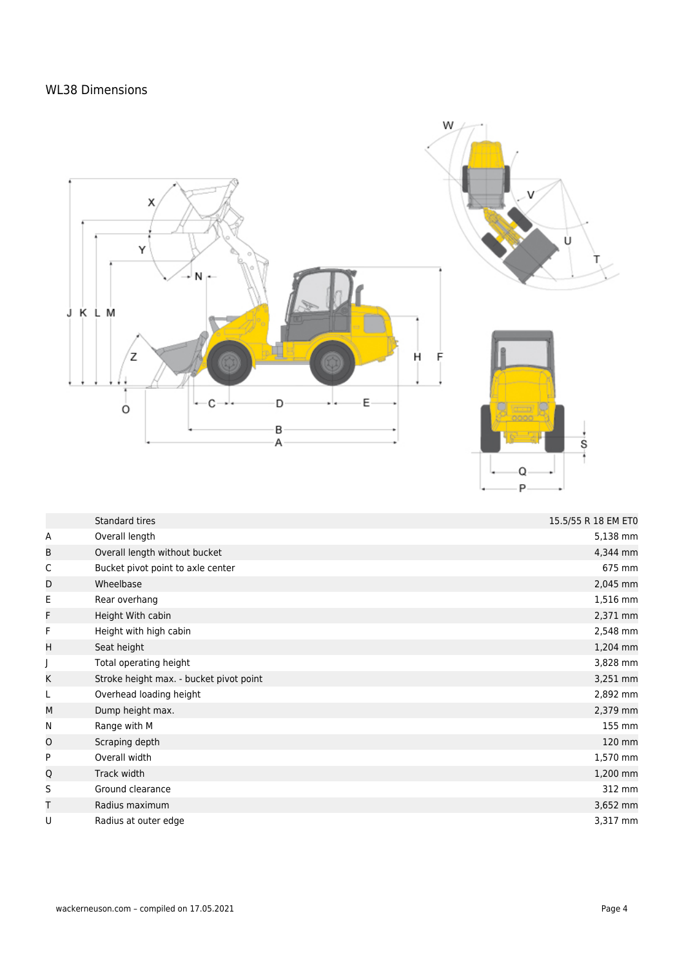## WL38 Dimensions



|   | Standard tires                          | 15.5/55 R 18 EM ET0 |
|---|-----------------------------------------|---------------------|
| Α | Overall length                          | 5,138 mm            |
| B | Overall length without bucket           | 4,344 mm            |
| C | Bucket pivot point to axle center       | 675 mm              |
| D | Wheelbase                               | 2,045 mm            |
| Е | Rear overhang                           | 1,516 mm            |
| F | Height With cabin                       | 2,371 mm            |
| F | Height with high cabin                  | 2,548 mm            |
| H | Seat height                             | 1,204 mm            |
|   | Total operating height                  | 3,828 mm            |
| Κ | Stroke height max. - bucket pivot point | 3,251 mm            |
| L | Overhead loading height                 | 2,892 mm            |
| M | Dump height max.                        | 2,379 mm            |
| N | Range with M                            | 155 mm              |
| O | Scraping depth                          | 120 mm              |
| P | Overall width                           | 1,570 mm            |
| Q | Track width                             | 1,200 mm            |
| S | Ground clearance                        | 312 mm              |
| Т | Radius maximum                          | 3,652 mm            |
| U | Radius at outer edge                    | 3,317 mm            |